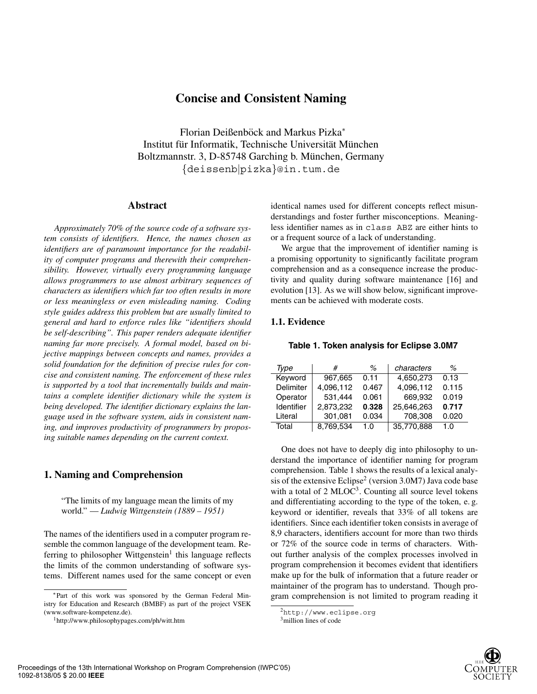# **Concise and Consistent Naming**

Florian Deißenböck and Markus Pizka<sup>\*</sup> Institut für Informatik, Technische Universität München Boltzmannstr. 3, D-85748 Garching b. München, Germany {deissenb|pizka}@in.tum.de

### **Abstract**

*Approximately 70% of the source code of a software system consists of identifiers. Hence, the names chosen as identifiers are of paramount importance for the readability of computer programs and therewith their comprehensibility. However, virtually every programming language allows programmers to use almost arbitrary sequences of characters as identifiers which far too often results in more or less meaningless or even misleading naming. Coding style guides address this problem but are usually limited to general and hard to enforce rules like "identifiers should be self-describing". This paper renders adequate identifier naming far more precisely. A formal model, based on bijective mappings between concepts and names, provides a solid foundation for the definition of precise rules for concise and consistent naming. The enforcement of these rules is supported by a tool that incrementally builds and maintains a complete identifier dictionary while the system is being developed. The identifier dictionary explains the language used in the software system, aids in consistent naming, and improves productivity of programmers by proposing suitable names depending on the current context.*

# **1. Naming and Comprehension**

"The limits of my language mean the limits of my world." — *Ludwig Wittgenstein (1889 – 1951)*

The names of the identifiers used in a computer program resemble the common language of the development team. Referring to philosopher Wittgenstein<sup>1</sup> this language reflects the limits of the common understanding of software systems. Different names used for the same concept or even identical names used for different concepts reflect misunderstandings and foster further misconceptions. Meaningless identifier names as in class ABZ are either hints to or a frequent source of a lack of understanding.

We argue that the improvement of identifier naming is a promising opportunity to significantly facilitate program comprehension and as a consequence increase the productivity and quality during software maintenance [16] and evolution [13]. As we will show below, significant improvements can be achieved with moderate costs.

### **1.1. Evidence**

### **Table 1. Token analysis for Eclipse 3.0M7**

| Type       | #         | %     | characters | %     |
|------------|-----------|-------|------------|-------|
| Keyword    | 967,665   | 0.11  | 4.650.273  | 0.13  |
| Delimiter  | 4,096,112 | 0.467 | 4,096,112  | 0.115 |
| Operator   | 531.444   | 0.061 | 669.932    | 0.019 |
| Identifier | 2,873,232 | 0.328 | 25,646,263 | 0.717 |
| Literal    | 301,081   | 0.034 | 708,308    | 0.020 |
| Total      | 8.769.534 | 1.0   | 35,770,888 | 1 O   |

One does not have to deeply dig into philosophy to understand the importance of identifier naming for program comprehension. Table 1 shows the results of a lexical analysis of the extensive Eclipse<sup>2</sup> (version 3.0M7) Java code base with a total of  $2 \text{ MLOC}^3$ . Counting all source level tokens and differentiating according to the type of the token, e. g. keyword or identifier, reveals that 33% of all tokens are identifiers. Since each identifier token consists in average of 8,9 characters, identifiers account for more than two thirds or 72% of the source code in terms of characters. Without further analysis of the complex processes involved in program comprehension it becomes evident that identifiers make up for the bulk of information that a future reader or maintainer of the program has to understand. Though program comprehension is not limited to program reading it



<sup>∗</sup>Part of this work was sponsored by the German Federal Ministry for Education and Research (BMBF) as part of the project VSEK (www.software-kompetenz.de).

<sup>1</sup>http://www.philosophypages.com/ph/witt.htm

<sup>2</sup>http://www.eclipse.org

<sup>&</sup>lt;sup>3</sup>million lines of code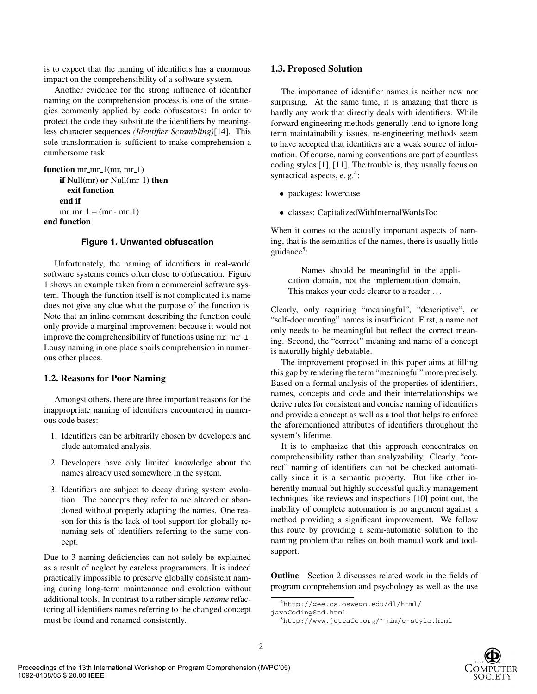is to expect that the naming of identifiers has a enormous impact on the comprehensibility of a software system.

Another evidence for the strong influence of identifier naming on the comprehension process is one of the strategies commonly applied by code obfuscators: In order to protect the code they substitute the identifiers by meaningless character sequences *(Identifier Scrambling)*[14]. This sole transformation is sufficient to make comprehension a cumbersome task.

```
function mr_mr_1(mr, mr_1)if Null(mr) or Null(mr<sub>-1</sub>) then
   exit function
end if
mr_- m r_1 = (mr - mr_1)end function
```
### **Figure 1. Unwanted obfuscation**

Unfortunately, the naming of identifiers in real-world software systems comes often close to obfuscation. Figure 1 shows an example taken from a commercial software system. Though the function itself is not complicated its name does not give any clue what the purpose of the function is. Note that an inline comment describing the function could only provide a marginal improvement because it would not improve the comprehensibility of functions using  $mr\_mr\_1$ . Lousy naming in one place spoils comprehension in numerous other places.

#### **1.2. Reasons for Poor Naming**

Amongst others, there are three important reasons for the inappropriate naming of identifiers encountered in numerous code bases:

- 1. Identifiers can be arbitrarily chosen by developers and elude automated analysis.
- 2. Developers have only limited knowledge about the names already used somewhere in the system.
- 3. Identifiers are subject to decay during system evolution. The concepts they refer to are altered or abandoned without properly adapting the names. One reason for this is the lack of tool support for globally renaming sets of identifiers referring to the same concept.

Due to 3 naming deficiencies can not solely be explained as a result of neglect by careless programmers. It is indeed practically impossible to preserve globally consistent naming during long-term maintenance and evolution without additional tools. In contrast to a rather simple *rename* refactoring all identifiers names referring to the changed concept must be found and renamed consistently.

#### **1.3. Proposed Solution**

The importance of identifier names is neither new nor surprising. At the same time, it is amazing that there is hardly any work that directly deals with identifiers. While forward engineering methods generally tend to ignore long term maintainability issues, re-engineering methods seem to have accepted that identifiers are a weak source of information. Of course, naming conventions are part of countless coding styles [1], [11]. The trouble is, they usually focus on syntactical aspects, e.  $g<sup>4</sup>$ :

- packages: lowercase
- classes: CapitalizedWithInternalWordsToo

When it comes to the actually important aspects of naming, that is the semantics of the names, there is usually little guidance<sup>5</sup>:

Names should be meaningful in the application domain, not the implementation domain. This makes your code clearer to a reader . . .

Clearly, only requiring "meaningful", "descriptive", or "self-documenting" names is insufficient. First, a name not only needs to be meaningful but reflect the correct meaning. Second, the "correct" meaning and name of a concept is naturally highly debatable.

The improvement proposed in this paper aims at filling this gap by rendering the term "meaningful" more precisely. Based on a formal analysis of the properties of identifiers, names, concepts and code and their interrelationships we derive rules for consistent and concise naming of identifiers and provide a concept as well as a tool that helps to enforce the aforementioned attributes of identifiers throughout the system's lifetime.

It is to emphasize that this approach concentrates on comprehensibility rather than analyzability. Clearly, "correct" naming of identifiers can not be checked automatically since it is a semantic property. But like other inherently manual but highly successful quality management techniques like reviews and inspections [10] point out, the inability of complete automation is no argument against a method providing a significant improvement. We follow this route by providing a semi-automatic solution to the naming problem that relies on both manual work and toolsupport.

**Outline** Section 2 discusses related work in the fields of program comprehension and psychology as well as the use

<sup>5</sup>http://www.jetcafe.org/∼jim/c-style.html



<sup>4</sup>http://gee.cs.oswego.edu/dl/html/

javaCodingStd.html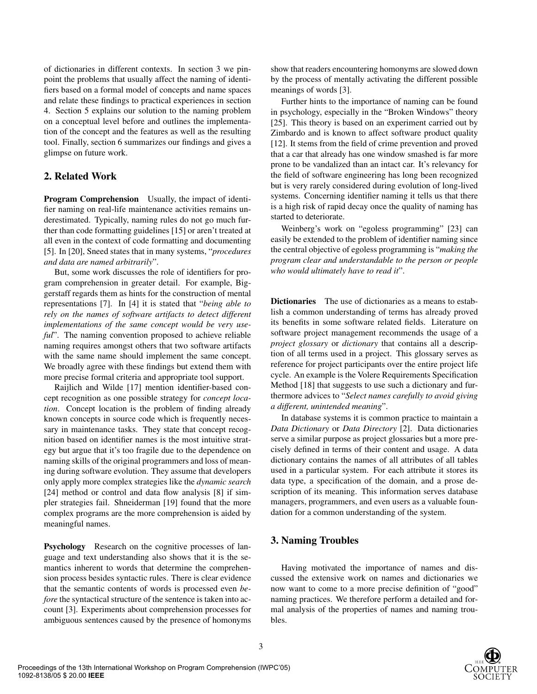of dictionaries in different contexts. In section 3 we pinpoint the problems that usually affect the naming of identifiers based on a formal model of concepts and name spaces and relate these findings to practical experiences in section 4. Section 5 explains our solution to the naming problem on a conceptual level before and outlines the implementation of the concept and the features as well as the resulting tool. Finally, section 6 summarizes our findings and gives a glimpse on future work.

## **2. Related Work**

**Program Comprehension** Usually, the impact of identifier naming on real-life maintenance activities remains underestimated. Typically, naming rules do not go much further than code formatting guidelines [15] or aren't treated at all even in the context of code formatting and documenting [5]. In [20], Sneed states that in many systems, "*procedures and data are named arbitrarily*".

But, some work discusses the role of identifiers for program comprehension in greater detail. For example, Biggerstaff regards them as hints for the construction of mental representations [7]. In [4] it is stated that "*being able to rely on the names of software artifacts to detect different implementations of the same concept would be very useful*". The naming convention proposed to achieve reliable naming requires amongst others that two software artifacts with the same name should implement the same concept. We broadly agree with these findings but extend them with more precise formal criteria and appropriate tool support.

Raijlich and Wilde [17] mention identifier-based concept recognition as one possible strategy for *concept location*. Concept location is the problem of finding already known concepts in source code which is frequently necessary in maintenance tasks. They state that concept recognition based on identifier names is the most intuitive strategy but argue that it's too fragile due to the dependence on naming skills of the original programmers and loss of meaning during software evolution. They assume that developers only apply more complex strategies like the *dynamic search* [24] method or control and data flow analysis [8] if simpler strategies fail. Shneiderman [19] found that the more complex programs are the more comprehension is aided by meaningful names.

**Psychology** Research on the cognitive processes of language and text understanding also shows that it is the semantics inherent to words that determine the comprehension process besides syntactic rules. There is clear evidence that the semantic contents of words is processed even *before* the syntactical structure of the sentence is taken into account [3]. Experiments about comprehension processes for ambiguous sentences caused by the presence of homonyms

show that readers encountering homonyms are slowed down by the process of mentally activating the different possible meanings of words [3].

Further hints to the importance of naming can be found in psychology, especially in the "Broken Windows" theory [25]. This theory is based on an experiment carried out by Zimbardo and is known to affect software product quality [12]. It stems from the field of crime prevention and proved that a car that already has one window smashed is far more prone to be vandalized than an intact car. It's relevancy for the field of software engineering has long been recognized but is very rarely considered during evolution of long-lived systems. Concerning identifier naming it tells us that there is a high risk of rapid decay once the quality of naming has started to deteriorate.

Weinberg's work on "egoless programming" [23] can easily be extended to the problem of identifier naming since the central objective of egoless programming is "*making the program clear and understandable to the person or people who would ultimately have to read it*".

**Dictionaries** The use of dictionaries as a means to establish a common understanding of terms has already proved its benefits in some software related fields. Literature on software project management recommends the usage of a *project glossary* or *dictionary* that contains all a description of all terms used in a project. This glossary serves as reference for project participants over the entire project life cycle. An example is the Volere Requirements Specification Method [18] that suggests to use such a dictionary and furthermore advices to "*Select names carefully to avoid giving a different, unintended meaning*".

In database systems it is common practice to maintain a *Data Dictionary* or *Data Directory* [2]. Data dictionaries serve a similar purpose as project glossaries but a more precisely defined in terms of their content and usage. A data dictionary contains the names of all attributes of all tables used in a particular system. For each attribute it stores its data type, a specification of the domain, and a prose description of its meaning. This information serves database managers, programmers, and even users as a valuable foundation for a common understanding of the system.

# **3. Naming Troubles**

Having motivated the importance of names and discussed the extensive work on names and dictionaries we now want to come to a more precise definition of "good" naming practices. We therefore perform a detailed and formal analysis of the properties of names and naming troubles.

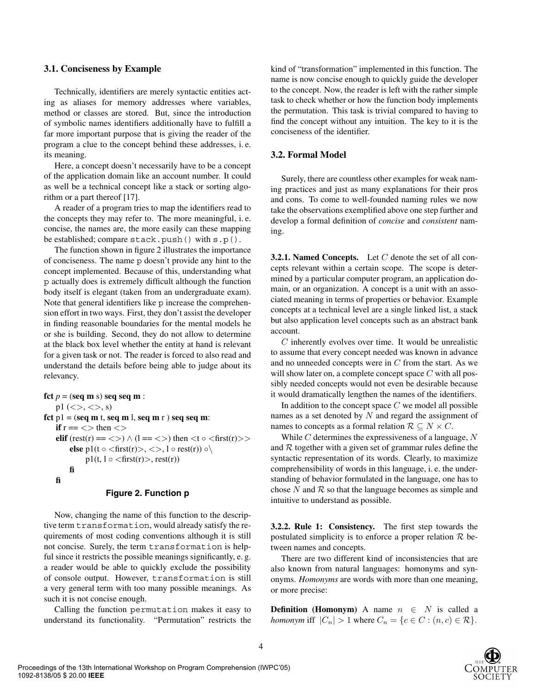### **3.1. Conciseness by Example**

Technically, identifiers are merely syntactic entities acting as aliases for memory addresses where variables, method or classes are stored. But, since the introduction of symbolic names identifiers additionally have to fulfill a far more important purpose that is giving the reader of the program a clue to the concept behind these addresses, i. e. its meaning.

Here, a concept doesn't necessarily have to be a concept of the application domain like an account number. It could as well be a technical concept like a stack or sorting algorithm or a part thereof [17].

A reader of a program tries to map the identifiers read to the concepts they may refer to. The more meaningful, i. e. concise, the names are, the more easily can these mapping be established; compare stack.push() with s.p().

The function shown in figure 2 illustrates the importance of conciseness. The name p doesn't provide any hint to the concept implemented. Because of this, understanding what p actually does is extremely difficult although the function body itself is elegant (taken from an undergraduate exam). Note that general identifiers like p increase the comprehension effort in two ways. First, they don't assist the developer in finding reasonable boundaries for the mental models he or she is building. Second, they do not allow to determine at the black box level whether the entity at hand is relevant for a given task or not. The reader is forced to also read and understand the details before being able to judge about its relevancy.

```
fct p = (seq \, m \, s) seq seq m :
p1 \, (<>, <>,fct p1 = (seq m t, seq m l, seq m r ) seq seq m:
if r == \le then \leelif (rest(r) == <>) \land (l == <>) then <t \circ <first(r)>>
     else p1(t ◦ \langle first(r)>, \langle>, l ◦ rest(r)) ◦\langle
           p1(t, l \circ \langle \text{first}(r) \rangle, \text{rest}(r))fi
fi
```
### **Figure 2. Function p**

Now, changing the name of this function to the descriptive term transformation, would already satisfy the requirements of most coding conventions although it is still not concise. Surely, the term transformation is helpful since it restricts the possible meanings significantly, e. g. a reader would be able to quickly exclude the possibility of console output. However, transformation is still a very general term with too many possible meanings. As such it is not concise enough.

Calling the function permutation makes it easy to understand its functionality. "Permutation" restricts the

kind of "transformation" implemented in this function. The name is now concise enough to quickly guide the developer to the concept. Now, the reader is left with the rather simple task to check whether or how the function body implements the permutation. This task is trivial compared to having to find the concept without any intuition. The key to it is the conciseness of the identifier.

## **3.2. Formal Model**

Surely, there are countless other examples for weak naming practices and just as many explanations for their pros and cons. To come to well-founded naming rules we now take the observations exemplified above one step further and develop a formal definition of *concise* and *consistent* naming.

**3.2.1. Named Concepts.** Let C denote the set of all concepts relevant within a certain scope. The scope is determined by a particular computer program, an application domain, or an organization. A concept is a unit with an associated meaning in terms of properties or behavior. Example concepts at a technical level are a single linked list, a stack but also application level concepts such as an abstract bank account.

 $C$  inherently evolves over time. It would be unrealistic to assume that every concept needed was known in advance and no unneeded concepts were in C from the start. As we will show later on, a complete concept space  $C$  with all possibly needed concepts would not even be desirable because it would dramatically lengthen the names of the identifiers.

In addition to the concept space  $C$  we model all possible names as a set denoted by N and regard the assignment of names to concepts as a formal relation  $\mathcal{R} \subseteq N \times C$ .

While  $C$  determines the expressiveness of a language,  $N$ and  $R$  together with a given set of grammar rules define the syntactic representation of its words. Clearly, to maximize comprehensibility of words in this language, i. e. the understanding of behavior formulated in the language, one has to chose  $N$  and  $R$  so that the language becomes as simple and intuitive to understand as possible.

**3.2.2. Rule 1: Consistency.** The first step towards the postulated simplicity is to enforce a proper relation  $\mathcal R$  between names and concepts.

There are two different kind of inconsistencies that are also known from natural languages: homonyms and synonyms. *Homonyms* are words with more than one meaning, or more precise:

**Definition (Homonym)** A name  $n \in N$  is called a *homonym* iff  $|C_n| > 1$  where  $C_n = \{c \in C : (n, c) \in \mathcal{R}\}.$ 

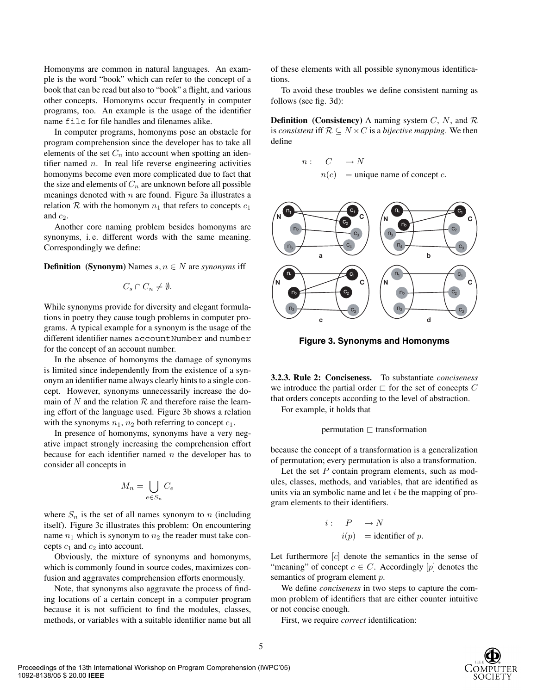Homonyms are common in natural languages. An example is the word "book" which can refer to the concept of a book that can be read but also to "book" a flight, and various other concepts. Homonyms occur frequently in computer programs, too. An example is the usage of the identifier name file for file handles and filenames alike.

In computer programs, homonyms pose an obstacle for program comprehension since the developer has to take all elements of the set  $C_n$  into account when spotting an identifier named  $n$ . In real life reverse engineering activities homonyms become even more complicated due to fact that the size and elements of  $C_n$  are unknown before all possible meanings denoted with  $n$  are found. Figure 3a illustrates a relation  $R$  with the homonym  $n_1$  that refers to concepts  $c_1$ and  $c_2$ .

Another core naming problem besides homonyms are synonyms, i. e. different words with the same meaning. Correspondingly we define:

**Definition (Synonym)** Names  $s, n \in N$  are *synonyms* iff

$$
C_s \cap C_n \neq \emptyset.
$$

While synonyms provide for diversity and elegant formulations in poetry they cause tough problems in computer programs. A typical example for a synonym is the usage of the different identifier names accountNumber and number for the concept of an account number.

In the absence of homonyms the damage of synonyms is limited since independently from the existence of a synonym an identifier name always clearly hints to a single concept. However, synonyms unnecessarily increase the domain of N and the relation  $R$  and therefore raise the learning effort of the language used. Figure 3b shows a relation with the synonyms  $n_1$ ,  $n_2$  both referring to concept  $c_1$ .

In presence of homonyms, synonyms have a very negative impact strongly increasing the comprehension effort because for each identifier named  $n$  the developer has to consider all concepts in

$$
M_n = \bigcup_{e \in S_n} C_e
$$

where  $S_n$  is the set of all names synonym to n (including itself). Figure 3c illustrates this problem: On encountering name  $n_1$  which is synonym to  $n_2$  the reader must take concepts  $c_1$  and  $c_2$  into account.

Obviously, the mixture of synonyms and homonyms, which is commonly found in source codes, maximizes confusion and aggravates comprehension efforts enormously.

Note, that synonyms also aggravate the process of finding locations of a certain concept in a computer program because it is not sufficient to find the modules, classes, methods, or variables with a suitable identifier name but all

of these elements with all possible synonymous identifications.

To avoid these troubles we define consistent naming as follows (see fig. 3d):

**Definition** (Consistency) A naming system  $C$ , N, and  $\mathcal{R}$ is *consistent* iff  $\mathcal{R} \subseteq N \times C$  is a *bijective mapping*. We then define

$$
n: C \rightarrow N
$$
  

$$
n(c) = \text{unique name of concept } c.
$$



**Figure 3. Synonyms and Homonyms**

**3.2.3. Rule 2: Conciseness.** To substantiate *conciseness* we introduce the partial order  $\sqsubset$  for the set of concepts C that orders concepts according to the level of abstraction. For example, it holds that

$$
permutation \sqsubset transformation
$$

because the concept of a transformation is a generalization of permutation; every permutation is also a transformation.

Let the set  $P$  contain program elements, such as modules, classes, methods, and variables, that are identified as units via an symbolic name and let  $i$  be the mapping of program elements to their identifiers.

$$
i: P \rightarrow N
$$
  

$$
i(p) = identifier of p.
$$

Let furthermore  $[c]$  denote the semantics in the sense of "meaning" of concept  $c \in C$ . Accordingly [p] denotes the semantics of program element  $p$ .

We define *conciseness* in two steps to capture the common problem of identifiers that are either counter intuitive or not concise enough.

First, we require *correct* identification:

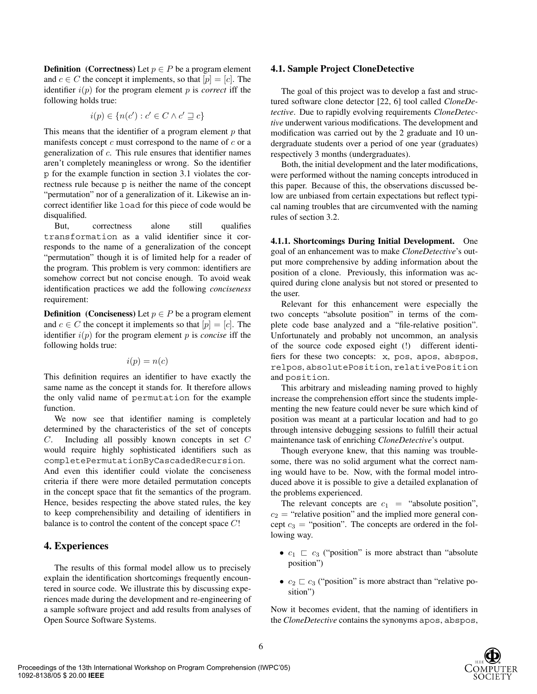**Definition** (Correctness) Let  $p \in P$  be a program element and  $c \in C$  the concept it implements, so that  $[p]=[c]$ . The identifier  $i(p)$  for the program element p is *correct* iff the following holds true:

$$
i(p) \in \{n(c'): c' \in C \land c' \sqsupseteq c\}
$$

This means that the identifier of a program element  $p$  that manifests concept  $c$  must correspond to the name of  $c$  or a generalization of c. This rule ensures that identifier names aren't completely meaningless or wrong. So the identifier p for the example function in section 3.1 violates the correctness rule because p is neither the name of the concept "permutation" nor of a generalization of it. Likewise an incorrect identifier like load for this piece of code would be disqualified.

But, correctness alone still qualifies transformation as a valid identifier since it corresponds to the name of a generalization of the concept "permutation" though it is of limited help for a reader of the program. This problem is very common: identifiers are somehow correct but not concise enough. To avoid weak identification practices we add the following *conciseness* requirement:

**Definition** (Conciseness) Let  $p \in P$  be a program element and  $c \in C$  the concept it implements so that  $[p]=[c]$ . The identifier  $i(p)$  for the program element p is *concise* iff the following holds true:

$$
i(p) = n(c)
$$

This definition requires an identifier to have exactly the same name as the concept it stands for. It therefore allows the only valid name of permutation for the example function.

We now see that identifier naming is completely determined by the characteristics of the set of concepts C. Including all possibly known concepts in set C would require highly sophisticated identifiers such as completePermutationByCascadedRecursion. And even this identifier could violate the conciseness criteria if there were more detailed permutation concepts in the concept space that fit the semantics of the program. Hence, besides respecting the above stated rules, the key to keep comprehensibility and detailing of identifiers in balance is to control the content of the concept space  $C!$ 

## **4. Experiences**

The results of this formal model allow us to precisely explain the identification shortcomings frequently encountered in source code. We illustrate this by discussing experiences made during the development and re-engineering of a sample software project and add results from analyses of Open Source Software Systems.

#### **4.1. Sample Project CloneDetective**

The goal of this project was to develop a fast and structured software clone detector [22, 6] tool called *CloneDetective*. Due to rapidly evolving requirements *CloneDetective* underwent various modifications. The development and modification was carried out by the 2 graduate and 10 undergraduate students over a period of one year (graduates) respectively 3 months (undergraduates).

Both, the initial development and the later modifications, were performed without the naming concepts introduced in this paper. Because of this, the observations discussed below are unbiased from certain expectations but reflect typical naming troubles that are circumvented with the naming rules of section 3.2.

**4.1.1. Shortcomings During Initial Development.** One goal of an enhancement was to make *CloneDetective*'s output more comprehensive by adding information about the position of a clone. Previously, this information was acquired during clone analysis but not stored or presented to the user.

Relevant for this enhancement were especially the two concepts "absolute position" in terms of the complete code base analyzed and a "file-relative position". Unfortunately and probably not uncommon, an analysis of the source code exposed eight (!) different identifiers for these two concepts: x, pos, apos, abspos, relpos, absolutePosition, relativePosition and position.

This arbitrary and misleading naming proved to highly increase the comprehension effort since the students implementing the new feature could never be sure which kind of position was meant at a particular location and had to go through intensive debugging sessions to fulfill their actual maintenance task of enriching *CloneDetective*'s output.

Though everyone knew, that this naming was troublesome, there was no solid argument what the correct naming would have to be. Now, with the formal model introduced above it is possible to give a detailed explanation of the problems experienced.

The relevant concepts are  $c_1$  = "absolute position",  $c_2$  = "relative position" and the implied more general concept  $c_3$  = "position". The concepts are ordered in the following way.

- $c_1 \rvert c_3$  ("position" is more abstract than "absolute position")
- $c_2 \rvert c_3$  ("position" is more abstract than "relative position")

Now it becomes evident, that the naming of identifiers in the *CloneDetective* contains the synonyms apos, abspos,

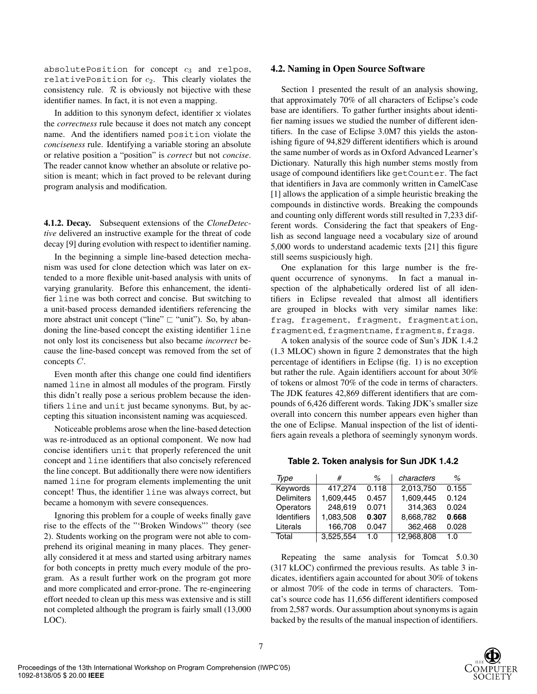absolutePosition for concept  $c_3$  and relpos, relativePosition for  $c_2$ . This clearly violates the consistency rule.  $\mathcal R$  is obviously not bijective with these identifier names. In fact, it is not even a mapping.

In addition to this synonym defect, identifier x violates the *correctness* rule because it does not match any concept name. And the identifiers named position violate the *conciseness* rule. Identifying a variable storing an absolute or relative position a "position" is *correct* but not *concise*. The reader cannot know whether an absolute or relative position is meant; which in fact proved to be relevant during program analysis and modification.

**4.1.2. Decay.** Subsequent extensions of the *CloneDetective* delivered an instructive example for the threat of code decay [9] during evolution with respect to identifier naming.

In the beginning a simple line-based detection mechanism was used for clone detection which was later on extended to a more flexible unit-based analysis with units of varying granularity. Before this enhancement, the identifier line was both correct and concise. But switching to a unit-based process demanded identifiers referencing the more abstract unit concept ("line"  $\sqsubset$  "unit"). So, by abandoning the line-based concept the existing identifier line not only lost its conciseness but also became *incorrect* because the line-based concept was removed from the set of concepts C.

Even month after this change one could find identifiers named line in almost all modules of the program. Firstly this didn't really pose a serious problem because the identifiers line and unit just became synonyms. But, by accepting this situation inconsistent naming was acquiesced.

Noticeable problems arose when the line-based detection was re-introduced as an optional component. We now had concise identifiers unit that properly referenced the unit concept and line identifiers that also concisely referenced the line concept. But additionally there were now identifiers named line for program elements implementing the unit concept! Thus, the identifier line was always correct, but became a homonym with severe consequences.

Ignoring this problem for a couple of weeks finally gave rise to the effects of the "'Broken Windows"' theory (see 2). Students working on the program were not able to comprehend its original meaning in many places. They generally considered it at mess and started using arbitrary names for both concepts in pretty much every module of the program. As a result further work on the program got more and more complicated and error-prone. The re-engineering effort needed to clean up this mess was extensive and is still not completed although the program is fairly small (13,000 LOC).

#### **4.2. Naming in Open Source Software**

Section 1 presented the result of an analysis showing, that approximately 70% of all characters of Eclipse's code base are identifiers. To gather further insights about identifier naming issues we studied the number of different identifiers. In the case of Eclipse 3.0M7 this yields the astonishing figure of 94,829 different identifiers which is around the same number of words as in Oxford Advanced Learner's Dictionary. Naturally this high number stems mostly from usage of compound identifiers like getCounter. The fact that identifiers in Java are commonly written in CamelCase [1] allows the application of a simple heuristic breaking the compounds in distinctive words. Breaking the compounds and counting only different words still resulted in 7,233 different words. Considering the fact that speakers of English as second language need a vocabulary size of around 5,000 words to understand academic texts [21] this figure still seems suspiciously high.

One explanation for this large number is the frequent occurrence of synonyms. In fact a manual inspection of the alphabetically ordered list of all identifiers in Eclipse revealed that almost all identifiers are grouped in blocks with very similar names like: frag, fragement, fragment, fragmentation, fragmented, fragmentname, fragments, frags.

A token analysis of the source code of Sun's JDK 1.4.2 (1.3 MLOC) shown in figure 2 demonstrates that the high percentage of identifiers in Eclipse (fig. 1) is no exception but rather the rule. Again identifiers account for about 30% of tokens or almost 70% of the code in terms of characters. The JDK features 42,869 different identifiers that are compounds of 6,426 different words. Taking JDK's smaller size overall into concern this number appears even higher than the one of Eclipse. Manual inspection of the list of identifiers again reveals a plethora of seemingly synonym words.

**Table 2. Token analysis for Sun JDK 1.4.2**

| Type               | #         | %     | characters | ℅     |
|--------------------|-----------|-------|------------|-------|
| Keywords           | 417,274   | 0.118 | 2,013,750  | 0.155 |
| <b>Delimiters</b>  | 1,609,445 | 0.457 | 1,609,445  | 0.124 |
| <b>Operators</b>   | 248.619   | 0.071 | 314,363    | 0.024 |
| <b>Identifiers</b> | 1,083,508 | 0.307 | 8,668,782  | 0.668 |
| Literals           | 166,708   | 0.047 | 362,468    | 0.028 |
| Total              | 3,525,554 | 1.0   | 12,968,808 | 1.0   |

Repeating the same analysis for Tomcat 5.0.30 (317 kLOC) confirmed the previous results. As table 3 indicates, identifiers again accounted for about 30% of tokens or almost 70% of the code in terms of characters. Tomcat's source code has 11,656 different identifiers composed from 2,587 words. Our assumption about synonyms is again backed by the results of the manual inspection of identifiers.

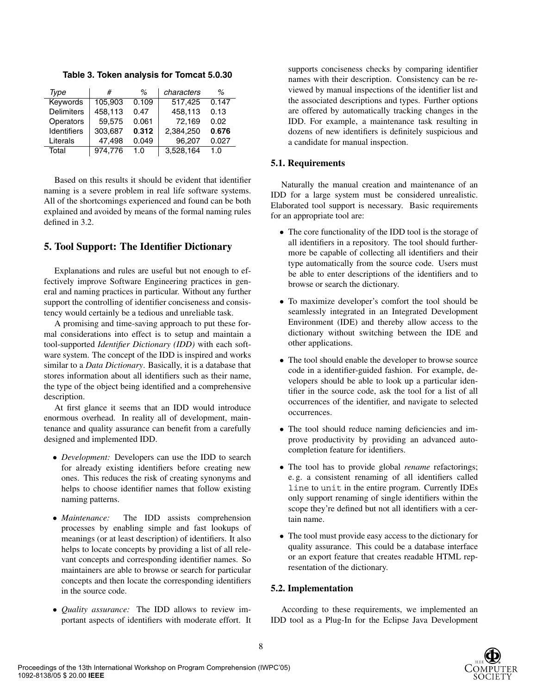| Type               | #       | %     | characters | %     |
|--------------------|---------|-------|------------|-------|
| Keywords           | 105.903 | 0.109 | 517.425    | 0.147 |
| <b>Delimiters</b>  | 458.113 | 0.47  | 458,113    | 0.13  |
| <b>Operators</b>   | 59.575  | 0.061 | 72.169     | 0.02  |
| <b>Identifiers</b> | 303.687 | 0.312 | 2.384.250  | 0.676 |
| Literals           | 47.498  | 0.049 | 96.207     | 0.027 |
| Total              | 974.776 | 1.0   | 3,528,164  | 1.0   |

Based on this results it should be evident that identifier naming is a severe problem in real life software systems. All of the shortcomings experienced and found can be both explained and avoided by means of the formal naming rules defined in 3.2.

# **5. Tool Support: The Identifier Dictionary**

Explanations and rules are useful but not enough to effectively improve Software Engineering practices in general and naming practices in particular. Without any further support the controlling of identifier conciseness and consistency would certainly be a tedious and unreliable task.

A promising and time-saving approach to put these formal considerations into effect is to setup and maintain a tool-supported *Identifier Dictionary (IDD)* with each software system. The concept of the IDD is inspired and works similar to a *Data Dictionary*. Basically, it is a database that stores information about all identifiers such as their name, the type of the object being identified and a comprehensive description.

At first glance it seems that an IDD would introduce enormous overhead. In reality all of development, maintenance and quality assurance can benefit from a carefully designed and implemented IDD.

- *Development:* Developers can use the IDD to search for already existing identifiers before creating new ones. This reduces the risk of creating synonyms and helps to choose identifier names that follow existing naming patterns.
- *Maintenance:* The IDD assists comprehension processes by enabling simple and fast lookups of meanings (or at least description) of identifiers. It also helps to locate concepts by providing a list of all relevant concepts and corresponding identifier names. So maintainers are able to browse or search for particular concepts and then locate the corresponding identifiers in the source code.
- *Quality assurance:* The IDD allows to review important aspects of identifiers with moderate effort. It

supports conciseness checks by comparing identifier names with their description. Consistency can be reviewed by manual inspections of the identifier list and the associated descriptions and types. Further options are offered by automatically tracking changes in the IDD. For example, a maintenance task resulting in dozens of new identifiers is definitely suspicious and a candidate for manual inspection.

## **5.1. Requirements**

Naturally the manual creation and maintenance of an IDD for a large system must be considered unrealistic. Elaborated tool support is necessary. Basic requirements for an appropriate tool are:

- The core functionality of the IDD tool is the storage of all identifiers in a repository. The tool should furthermore be capable of collecting all identifiers and their type automatically from the source code. Users must be able to enter descriptions of the identifiers and to browse or search the dictionary.
- To maximize developer's comfort the tool should be seamlessly integrated in an Integrated Development Environment (IDE) and thereby allow access to the dictionary without switching between the IDE and other applications.
- The tool should enable the developer to browse source code in a identifier-guided fashion. For example, developers should be able to look up a particular identifier in the source code, ask the tool for a list of all occurrences of the identifier, and navigate to selected occurrences.
- The tool should reduce naming deficiencies and improve productivity by providing an advanced autocompletion feature for identifiers.
- The tool has to provide global *rename* refactorings; e. g. a consistent renaming of all identifiers called line to unit in the entire program. Currently IDEs only support renaming of single identifiers within the scope they're defined but not all identifiers with a certain name.
- The tool must provide easy access to the dictionary for quality assurance. This could be a database interface or an export feature that creates readable HTML representation of the dictionary.

## **5.2. Implementation**

According to these requirements, we implemented an IDD tool as a Plug-In for the Eclipse Java Development

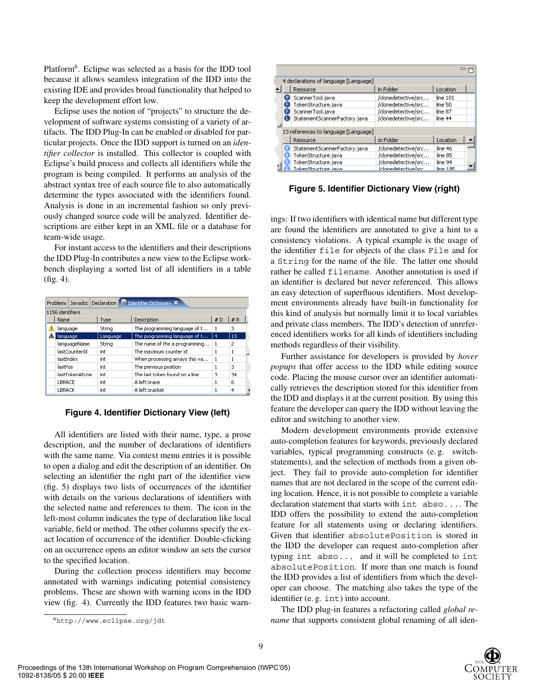Platform6. Eclipse was selected as a basis for the IDD tool because it allows seamless integration of the IDD into the existing IDE and provides broad functionality that helped to keep the development effort low.

Eclipse uses the notion of "projects" to structure the development of software systems consisting of a variety of artifacts. The IDD Plug-In can be enabled or disabled for particular projects. Once the IDD support is turned on an *identifier collector* is installed. This collector is coupled with Eclipse's build process and collects all identifiers while the program is being compiled. It performs an analysis of the abstract syntax tree of each source file to also automatically determine the types associated with the identifiers found. Analysis is done in an incremental fashion so only previously changed source code will be analyzed. Identifier descriptions are either kept in an XML file or a database for team-wide usage.

For instant access to the identifiers and their descriptions the IDD Plug-In contributes a new view to the Eclipse workbench displaying a sorted list of all identifiers in a table (fig. 4).

| Problems Javadoc Declaration <b>To</b> Identifier Dictionary X |          |                                |    |    |
|----------------------------------------------------------------|----------|--------------------------------|----|----|
| 1156 identifiers                                               |          |                                |    |    |
| Name                                                           | Type     | Description                    | #D | #R |
| language<br>А                                                  | String   | The programming language of t  |    | з  |
| language                                                       | Language | The programming language of t  | 4  | 13 |
| languageName                                                   | String   | The name of the a programming  |    | 2  |
| lastCounterId                                                  | int      | The maximum counter id.        |    |    |
| lastIndex                                                      | int      | When processing arrays this va | 1  |    |
| lastPos                                                        | int      | The previous position          |    | з  |
| lastTokenAtLine                                                | int      | The last token found on a line | з  | 34 |
| LBRACE                                                         | int      | A left brace                   |    | 6  |
| LBRACK                                                         | int      | A left bracket.                |    | 4  |

### **Figure 4. Identifier Dictionary View (left)**

All identifiers are listed with their name, type, a prose description, and the number of declarations of identifiers with the same name. Via context menu entries it is possible to open a dialog and edit the description of an identifier. On selecting an identifier the right part of the identifier view (fig. 5) displays two lists of occurrences of the identifier with details on the various declarations of identifiers with the selected name and references to them. The icon in the left-most column indicates the type of declaration like local variable, field or method. The other columns specify the exact location of occurrence of the identifier. Double-clicking on an occurrence opens an editor window an sets the cursor to the specified location.

During the collection process identifiers may become annotated with warnings indicating potential consistency problems. These are shown with warning icons in the IDD view (fig. 4). Currently the IDD features two basic warn-

| 4 declarations of language [Language] |  |                      |          |  |
|---------------------------------------|--|----------------------|----------|--|
| Resource                              |  | in Folder            | Location |  |
| ScannerTool.java<br>ø                 |  | /clonedetective/src  | line 101 |  |
| TokenStructure.java<br>G              |  | /clonedetective/src  | line 50  |  |
| A<br>ScannerTool.java                 |  | /clonedetective/src  | line 87  |  |
| StatementScannerFactory.java          |  | /clonedetective/src  | line 44  |  |
|                                       |  |                      |          |  |
| 13 references to language [Language]  |  |                      |          |  |
| Resource                              |  | in Folder            | Location |  |
| R<br>StatementScannerFactory.java     |  | /clonedetective/src  | line 46  |  |
| TokenStructure.java<br>R              |  | /clonedetective/src  | line 85  |  |
| TokenStructure.java                   |  | /clonedetective/src  | line 94  |  |
| TokenStructure java                   |  | (clonedetective (src | line 195 |  |

**Figure 5. Identifier Dictionary View (right)**

ings: If two identifiers with identical name but different type are found the identifiers are annotated to give a hint to a consistency violations. A typical example is the usage of the identifier file for objects of the class File and for a String for the name of the file. The latter one should rather be called filename. Another annotation is used if an identifier is declared but never referenced. This allows an easy detection of superfluous identifiers. Most development environments already have built-in functionality for this kind of analysis but normally limit it to local variables and private class members. The IDD's detection of unreferenced identifiers works for all kinds of identifiers including methods regardless of their visibility.

Further assistance for developers is provided by *hover popups* that offer access to the IDD while editing source code. Placing the mouse cursor over an identifier automatically retrieves the description stored for this identifier from the IDD and displays it at the current position. By using this feature the developer can query the IDD without leaving the editor and switching to another view.

Modern development environments provide extensive auto-completion features for keywords, previously declared variables, typical programming constructs (e. g. switchstatements), and the selection of methods from a given object. They fail to provide auto-completion for identifier names that are not declared in the scope of the current editing location. Hence, it is not possible to complete a variable declaration statement that starts with int abso.... The IDD offers the possibility to extend the auto-completion feature for all statements using or declaring identifiers. Given that identifier absolutePosition is stored in the IDD the developer can request auto-completion after typing int abso... and it will be completed to int absolutePosition. If more than one match is found the IDD provides a list of identifiers from which the developer can choose. The matching also takes the type of the identifier (e. g. int) into account.

The IDD plug-in features a refactoring called *global rename* that supports consistent global renaming of all iden-



<sup>6</sup>http://www.eclipse.org/jdt